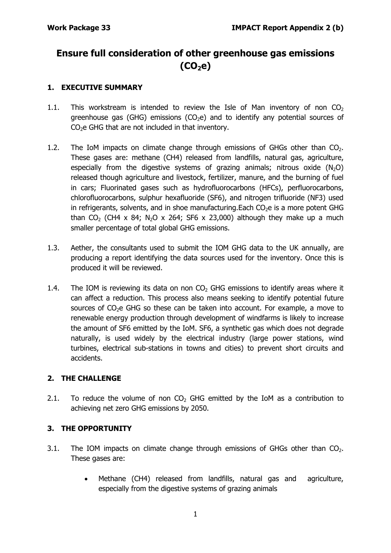# **Ensure full consideration of other greenhouse gas emissions (CO2e)**

#### **1. EXECUTIVE SUMMARY**

- 1.1. This workstream is intended to review the Isle of Man inventory of non  $CO<sub>2</sub>$ greenhouse gas (GHG) emissions (CO<sub>2</sub>e) and to identify any potential sources of  $CO<sub>2</sub>e$  GHG that are not included in that inventory.
- 1.2. The IoM impacts on climate change through emissions of GHGs other than  $CO<sub>2</sub>$ . These gases are: methane (CH4) released from landfills, natural gas, agriculture, especially from the digestive systems of grazing animals; nitrous oxide  $(N_2O)$ released though agriculture and livestock, fertilizer, manure, and the burning of fuel in cars; Fluorinated gases such as hydrofluorocarbons (HFCs), perfluorocarbons, chlorofluorocarbons, sulphur hexafluoride (SF6), and nitrogen trifluoride (NF3) used in refrigerants, solvents, and in shoe manufacturing. Each  $CO<sub>2</sub>e$  is a more potent GHG than  $CO_2$  (CH4 x 84; N<sub>2</sub>O x 264; SF6 x 23,000) although they make up a much smaller percentage of total global GHG emissions.
- 1.3. Aether, the consultants used to submit the IOM GHG data to the UK annually, are producing a report identifying the data sources used for the inventory. Once this is produced it will be reviewed.
- 1.4. The IOM is reviewing its data on non  $CO<sub>2</sub>$  GHG emissions to identify areas where it can affect a reduction. This process also means seeking to identify potential future sources of  $CO<sub>2</sub>e$  GHG so these can be taken into account. For example, a move to renewable energy production through development of windfarms is likely to increase the amount of SF6 emitted by the IoM. SF6, a synthetic gas which does not degrade naturally, is used widely by the electrical industry (large power stations, wind turbines, electrical sub-stations in towns and cities) to prevent short circuits and accidents.

#### **2. THE CHALLENGE**

2.1. To reduce the volume of non  $CO<sub>2</sub>$  GHG emitted by the IoM as a contribution to achieving net zero GHG emissions by 2050.

#### **3. THE OPPORTUNITY**

- 3.1. The IOM impacts on climate change through emissions of GHGs other than  $CO<sub>2</sub>$ . These gases are:
	- Methane (CH4) released from landfills, natural gas and agriculture, especially from the digestive systems of grazing animals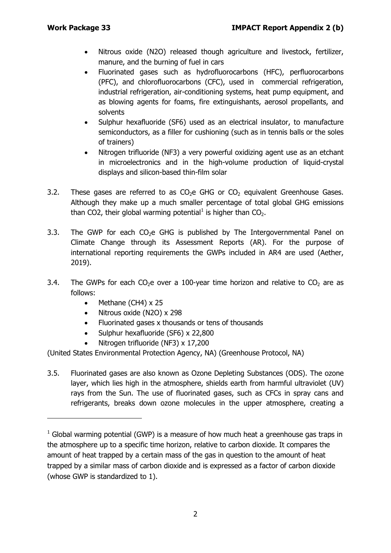- Nitrous oxide (N2O) released though agriculture and livestock, fertilizer, manure, and the burning of fuel in cars
- Fluorinated gases such as hydrofluorocarbons (HFC), perfluorocarbons (PFC), and chlorofluorocarbons (CFC), used in commercial refrigeration, industrial refrigeration, air-conditioning systems, heat pump equipment, and as blowing agents for foams, fire extinguishants, aerosol propellants, and solvents
- Sulphur hexafluoride (SF6) used as an electrical insulator, to manufacture semiconductors, as a filler for cushioning (such as in tennis balls or the soles of trainers)
- Nitrogen trifluoride (NF3) a very powerful oxidizing agent use as an etchant in microelectronics and in the high-volume production of liquid-crystal displays and silicon-based thin-film solar
- 3.2. These gases are referred to as  $CO<sub>2</sub>e$  GHG or  $CO<sub>2</sub>$  equivalent Greenhouse Gases. Although they make up a much smaller percentage of total global GHG emissions than CO2, their global warming potential<sup>[1](#page-1-0)</sup> is higher than  $CO<sub>2</sub>$ .
- 3.3. The GWP for each  $CO<sub>2</sub>e$  GHG is published by The Intergovernmental Panel on Climate Change through its Assessment Reports (AR). For the purpose of international reporting requirements the GWPs included in AR4 are used (Aether, 2019).
- 3.4. The GWPs for each  $CO<sub>2</sub>e$  over a 100-year time horizon and relative to  $CO<sub>2</sub>$  are as follows:
	- Methane (CH4) x 25

-

- Nitrous oxide (N2O) x 298
- Fluorinated gases x thousands or tens of thousands
- Sulphur hexafluoride (SF6) x 22,800
- Nitrogen trifluoride (NF3) x 17,200

(United States Environmental Protection Agency, NA) (Greenhouse Protocol, NA)

3.5. Fluorinated gases are also known as Ozone Depleting Substances (ODS). The ozone layer, which lies high in the atmosphere, shields earth from harmful ultraviolet (UV) rays from the Sun. The use of fluorinated gases, such as CFCs in spray cans and refrigerants, breaks down ozone molecules in the upper atmosphere, creating a

<span id="page-1-0"></span> $1$  Global warming potential (GWP) is a measure of how much heat a greenhouse gas traps in the atmosphere up to a specific time horizon, relative to carbon dioxide. It compares the amount of heat trapped by a certain mass of the gas in question to the amount of heat trapped by a similar mass of carbon dioxide and is expressed as a factor of carbon dioxide (whose GWP is standardized to 1).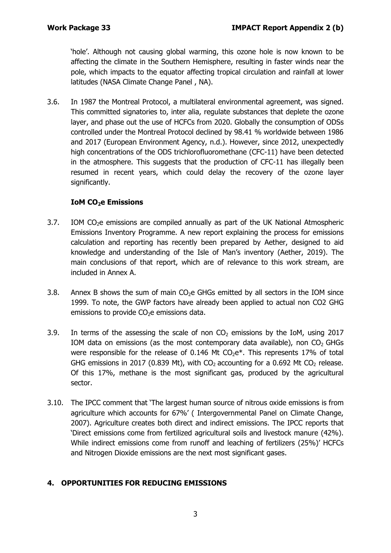'hole'. Although not causing global warming, this ozone hole is now known to be affecting the climate in the Southern Hemisphere, resulting in faster winds near the pole, which impacts to the equator affecting tropical circulation and rainfall at lower latitudes (NASA Climate Change Panel , NA).

3.6. In 1987 the Montreal Protocol, a multilateral environmental agreement, was signed. This committed signatories to, inter alia, regulate substances that deplete the ozone layer, and phase out the use of HCFCs from 2020. Globally the consumption of ODSs controlled under the Montreal Protocol declined by 98.41 % worldwide between 1986 and 2017 (European Environment Agency, n.d.). However, since 2012, unexpectedly high concentrations of the ODS trichlorofluoromethane (CFC-11) have been detected in the atmosphere. This suggests that the production of CFC-11 has illegally been resumed in recent years, which could delay the recovery of the ozone layer significantly.

#### **IoM CO<sub>2</sub>e Emissions**

- 3.7. IOM CO<sub>2</sub>e emissions are compiled annually as part of the UK National Atmospheric Emissions Inventory Programme. A new report explaining the process for emissions calculation and reporting has recently been prepared by Aether, designed to aid knowledge and understanding of the Isle of Man's inventory (Aether, 2019). The main conclusions of that report, which are of relevance to this work stream, are included in Annex A.
- 3.8. Annex B shows the sum of main  $CO<sub>2</sub>e$  GHGs emitted by all sectors in the IOM since 1999. To note, the GWP factors have already been applied to actual non CO2 GHG emissions to provide  $CO<sub>2</sub>e$  emissions data.
- 3.9. In terms of the assessing the scale of non  $CO<sub>2</sub>$  emissions by the IoM, using 2017 IOM data on emissions (as the most contemporary data available), non  $CO<sub>2</sub>$  GHGs were responsible for the release of 0.146 Mt  $CO<sub>2</sub>e<sup>*</sup>$ . This represents 17% of total GHG emissions in 2017 (0.839 Mt), with  $CO<sub>2</sub>$  accounting for a 0.692 Mt  $CO<sub>2</sub>$  release. Of this 17%, methane is the most significant gas, produced by the agricultural sector.
- 3.10. The IPCC comment that 'The largest human source of nitrous oxide emissions is from agriculture which accounts for 67%' ( Intergovernmental Panel on Climate Change, 2007). Agriculture creates both direct and indirect emissions. The IPCC reports that 'Direct emissions come from fertilized agricultural soils and livestock manure (42%). While indirect emissions come from runoff and leaching of fertilizers (25%)' HCFCs and Nitrogen Dioxide emissions are the next most significant gases.

#### **4. OPPORTUNITIES FOR REDUCING EMISSIONS**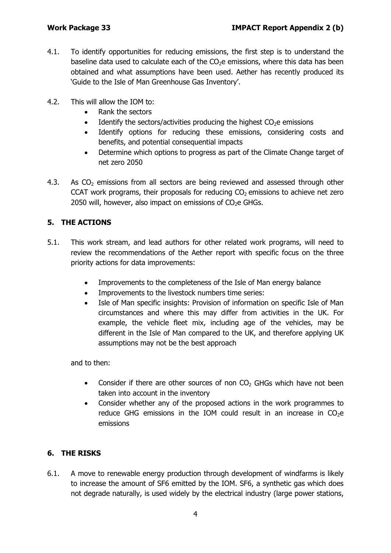- 4.1. To identify opportunities for reducing emissions, the first step is to understand the baseline data used to calculate each of the  $CO<sub>2</sub>e$  emissions, where this data has been obtained and what assumptions have been used. Aether has recently produced its 'Guide to the Isle of Man Greenhouse Gas Inventory'.
- 4.2. This will allow the IOM to:
	- Rank the sectors
	- Identify the sectors/activities producing the highest  $CO<sub>2</sub>e$  emissions
	- Identify options for reducing these emissions, considering costs and benefits, and potential consequential impacts
	- Determine which options to progress as part of the Climate Change target of net zero 2050
- 4.3. As  $CO<sub>2</sub>$  emissions from all sectors are being reviewed and assessed through other CCAT work programs, their proposals for reducing  $CO<sub>2</sub>$  emissions to achieve net zero 2050 will, however, also impact on emissions of  $CO<sub>2</sub>e$  GHGs.

#### **5. THE ACTIONS**

- 5.1. This work stream, and lead authors for other related work programs, will need to review the recommendations of the Aether report with specific focus on the three priority actions for data improvements:
	- Improvements to the completeness of the Isle of Man energy balance
	- Improvements to the livestock numbers time series:
	- Isle of Man specific insights: Provision of information on specific Isle of Man circumstances and where this may differ from activities in the UK. For example, the vehicle fleet mix, including age of the vehicles, may be different in the Isle of Man compared to the UK, and therefore applying UK assumptions may not be the best approach

and to then:

- Consider if there are other sources of non  $CO<sub>2</sub>$  GHGs which have not been taken into account in the inventory
- Consider whether any of the proposed actions in the work programmes to reduce GHG emissions in the IOM could result in an increase in  $CO<sub>2</sub>e$ emissions

#### **6. THE RISKS**

6.1. A move to renewable energy production through development of windfarms is likely to increase the amount of SF6 emitted by the IOM. SF6, a synthetic gas which does not degrade naturally, is used widely by the electrical industry (large power stations,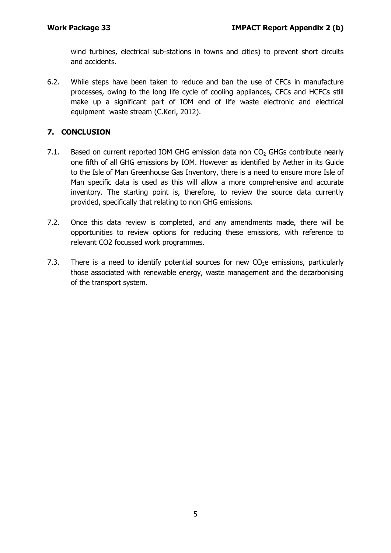wind turbines, electrical sub-stations in towns and cities) to prevent short circuits and accidents.

6.2. While steps have been taken to reduce and ban the use of CFCs in manufacture processes, owing to the long life cycle of cooling appliances, CFCs and HCFCs still make up a significant part of IOM end of life waste electronic and electrical equipment waste stream (C.Keri, 2012).

#### **7. CONCLUSION**

- 7.1. Based on current reported IOM GHG emission data non  $CO<sub>2</sub>$  GHGs contribute nearly one fifth of all GHG emissions by IOM. However as identified by Aether in its Guide to the Isle of Man Greenhouse Gas Inventory, there is a need to ensure more Isle of Man specific data is used as this will allow a more comprehensive and accurate inventory. The starting point is, therefore, to review the source data currently provided, specifically that relating to non GHG emissions.
- 7.2. Once this data review is completed, and any amendments made, there will be opportunities to review options for reducing these emissions, with reference to relevant CO2 focussed work programmes.
- 7.3. There is a need to identify potential sources for new  $CO<sub>2</sub>e$  emissions, particularly those associated with renewable energy, waste management and the decarbonising of the transport system.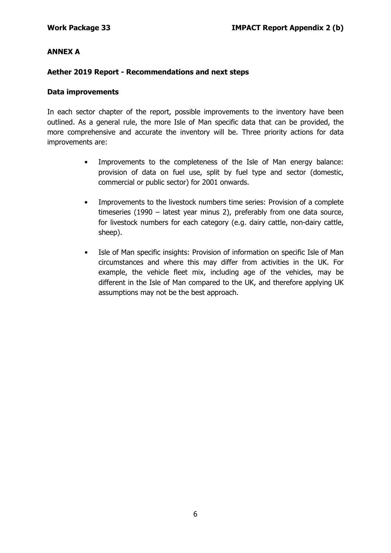#### **ANNEX A**

#### **Aether 2019 Report - Recommendations and next steps**

#### **Data improvements**

In each sector chapter of the report, possible improvements to the inventory have been outlined. As a general rule, the more Isle of Man specific data that can be provided, the more comprehensive and accurate the inventory will be. Three priority actions for data improvements are:

- Improvements to the completeness of the Isle of Man energy balance: provision of data on fuel use, split by fuel type and sector (domestic, commercial or public sector) for 2001 onwards.
- Improvements to the livestock numbers time series: Provision of a complete timeseries (1990 – latest year minus 2), preferably from one data source, for livestock numbers for each category (e.g. dairy cattle, non-dairy cattle, sheep).
- Isle of Man specific insights: Provision of information on specific Isle of Man circumstances and where this may differ from activities in the UK. For example, the vehicle fleet mix, including age of the vehicles, may be different in the Isle of Man compared to the UK, and therefore applying UK assumptions may not be the best approach.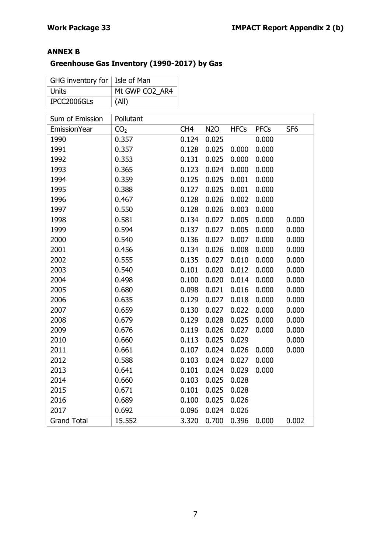## **ANNEX B**

# **Greenhouse Gas Inventory (1990-2017) by Gas**

| GHG inventory for $ $ Isle of Man |                |
|-----------------------------------|----------------|
| Units                             | Mt GWP CO2 AR4 |
| IPCC2006GLs                       | (All)          |

| Sum of Emission     | Pollutant       |                 |            |             |             |                 |
|---------------------|-----------------|-----------------|------------|-------------|-------------|-----------------|
| <b>EmissionYear</b> | CO <sub>2</sub> | CH <sub>4</sub> | <b>N2O</b> | <b>HFCs</b> | <b>PFCs</b> | SF <sub>6</sub> |
| 1990                | 0.357           | 0.124           | 0.025      |             | 0.000       |                 |
| 1991                | 0.357           | 0.128           | 0.025      | 0.000       | 0.000       |                 |
| 1992                | 0.353           | 0.131           | 0.025      | 0.000       | 0.000       |                 |
| 1993                | 0.365           | 0.123           | 0.024      | 0.000       | 0.000       |                 |
| 1994                | 0.359           | 0.125           | 0.025      | 0.001       | 0.000       |                 |
| 1995                | 0.388           | 0.127           | 0.025      | 0.001       | 0.000       |                 |
| 1996                | 0.467           | 0.128           | 0.026      | 0.002       | 0.000       |                 |
| 1997                | 0.550           | 0.128           | 0.026      | 0.003       | 0.000       |                 |
| 1998                | 0.581           | 0.134           | 0.027      | 0.005       | 0.000       | 0.000           |
| 1999                | 0.594           | 0.137           | 0.027      | 0.005       | 0.000       | 0.000           |
| 2000                | 0.540           | 0.136           | 0.027      | 0.007       | 0.000       | 0.000           |
| 2001                | 0.456           | 0.134           | 0.026      | 0.008       | 0.000       | 0.000           |
| 2002                | 0.555           | 0.135           | 0.027      | 0.010       | 0.000       | 0.000           |
| 2003                | 0.540           | 0.101           | 0.020      | 0.012       | 0.000       | 0.000           |
| 2004                | 0.498           | 0.100           | 0.020      | 0.014       | 0.000       | 0.000           |
| 2005                | 0.680           | 0.098           | 0.021      | 0.016       | 0.000       | 0.000           |
| 2006                | 0.635           | 0.129           | 0.027      | 0.018       | 0.000       | 0.000           |
| 2007                | 0.659           | 0.130           | 0.027      | 0.022       | 0.000       | 0.000           |
| 2008                | 0.679           | 0.129           | 0.028      | 0.025       | 0.000       | 0.000           |
| 2009                | 0.676           | 0.119           | 0.026      | 0.027       | 0.000       | 0.000           |
| 2010                | 0.660           | 0.113           | 0.025      | 0.029       |             | 0.000           |
| 2011                | 0.661           | 0.107           | 0.024      | 0.026       | 0.000       | 0.000           |
| 2012                | 0.588           | 0.103           | 0.024      | 0.027       | 0.000       |                 |
| 2013                | 0.641           | 0.101           | 0.024      | 0.029       | 0.000       |                 |
| 2014                | 0.660           | 0.103           | 0.025      | 0.028       |             |                 |
| 2015                | 0.671           | 0.101           | 0.025      | 0.028       |             |                 |
| 2016                | 0.689           | 0.100           | 0.025      | 0.026       |             |                 |
| 2017                | 0.692           | 0.096           | 0.024      | 0.026       |             |                 |
| <b>Grand Total</b>  | 15.552          | 3.320           | 0.700      | 0.396       | 0.000       | 0.002           |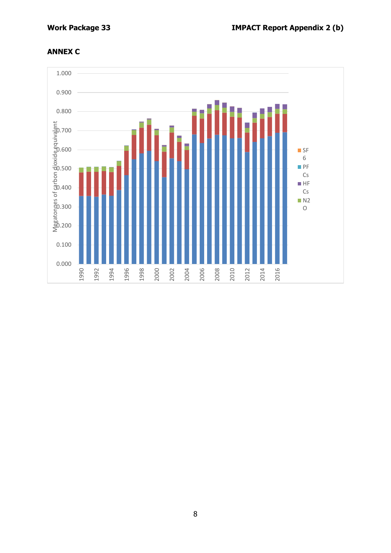## **ANNEX C**

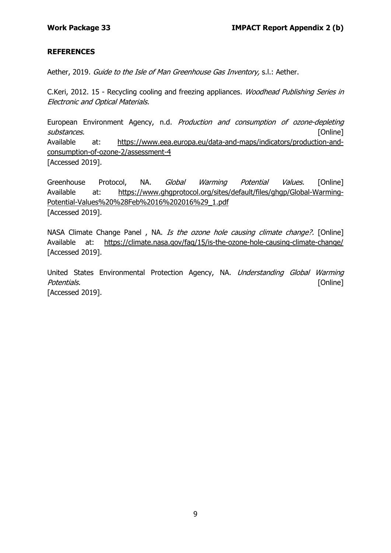#### **REFERENCES**

Aether, 2019. Guide to the Isle of Man Greenhouse Gas Inventory, s.l.: Aether.

C.Keri, 2012. 15 - Recycling cooling and freezing appliances. Woodhead Publishing Series in Electronic and Optical Materials.

European Environment Agency, n.d. Production and consumption of ozone-depleting substances. **[Online]** Available at: https://www.eea.europa.eu/data-and-maps/indicators/production-andconsumption-of-ozone-2/assessment-4 [Accessed 2019].

Greenhouse Protocol, NA. *Global Warming Potential Values.* [Online] Available at: https://www.ghgprotocol.org/sites/default/files/ghgp/Global-Warming-Potential-Values%20%28Feb%2016%202016%29\_1.pdf [Accessed 2019].

NASA Climate Change Panel, NA. Is the ozone hole causing climate change?. [Online] Available at: https://climate.nasa.gov/faq/15/is-the-ozone-hole-causing-climate-change/ [Accessed 2019].

United States Environmental Protection Agency, NA. Understanding Global Warming Potentials. [Online] [Accessed 2019].

9